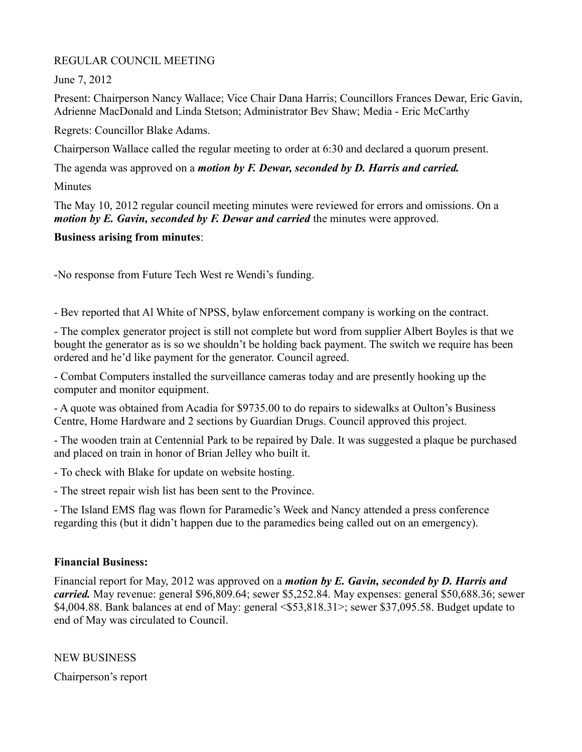## REGULAR COUNCIL MEETING

June 7, 2012

Present: Chairperson Nancy Wallace; Vice Chair Dana Harris; Councillors Frances Dewar, Eric Gavin, Adrienne MacDonald and Linda Stetson; Administrator Bev Shaw; Media - Eric McCarthy

Regrets: Councillor Blake Adams.

Chairperson Wallace called the regular meeting to order at 6:30 and declared a quorum present.

The agenda was approved on a *motion by F. Dewar, seconded by D. Harris and carried.*

**Minutes** 

The May 10, 2012 regular council meeting minutes were reviewed for errors and omissions. On a *motion by E. Gavin, seconded by F. Dewar and carried* the minutes were approved.

## **Business arising from minutes**:

-No response from Future Tech West re Wendi's funding.

- Bev reported that Al White of NPSS, bylaw enforcement company is working on the contract.

- The complex generator project is still not complete but word from supplier Albert Boyles is that we bought the generator as is so we shouldn't be holding back payment. The switch we require has been ordered and he'd like payment for the generator. Council agreed.

- Combat Computers installed the surveillance cameras today and are presently hooking up the computer and monitor equipment.

- A quote was obtained from Acadia for \$9735.00 to do repairs to sidewalks at Oulton's Business Centre, Home Hardware and 2 sections by Guardian Drugs. Council approved this project.

- The wooden train at Centennial Park to be repaired by Dale. It was suggested a plaque be purchased and placed on train in honor of Brian Jelley who built it.

- To check with Blake for update on website hosting.

- The street repair wish list has been sent to the Province.

- The Island EMS flag was flown for Paramedic's Week and Nancy attended a press conference regarding this (but it didn't happen due to the paramedics being called out on an emergency).

# **Financial Business:**

Financial report for May, 2012 was approved on a *motion by E. Gavin, seconded by D. Harris and carried.* May revenue: general \$96,809.64; sewer \$5,252.84. May expenses: general \$50,688.36; sewer \$4,004.88. Bank balances at end of May: general <\$53,818.31>; sewer \$37,095.58. Budget update to end of May was circulated to Council.

NEW BUSINESS Chairperson's report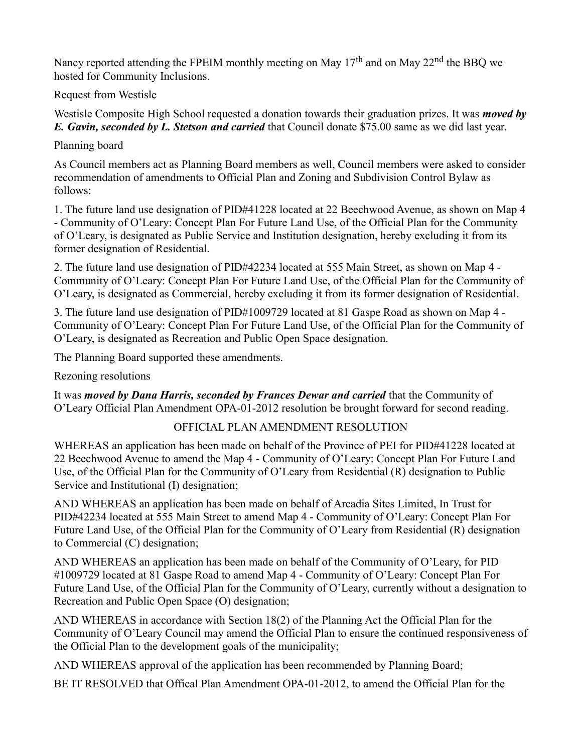Nancy reported attending the FPEIM monthly meeting on May  $17<sup>th</sup>$  and on May  $22<sup>nd</sup>$  the BBQ we hosted for Community Inclusions.

Request from Westisle

Westisle Composite High School requested a donation towards their graduation prizes. It was *moved by E. Gavin, seconded by L. Stetson and carried* that Council donate \$75.00 same as we did last year.

Planning board

As Council members act as Planning Board members as well, Council members were asked to consider recommendation of amendments to Official Plan and Zoning and Subdivision Control Bylaw as follows:

1. The future land use designation of PID#41228 located at 22 Beechwood Avenue, as shown on Map 4 - Community of O'Leary: Concept Plan For Future Land Use, of the Official Plan for the Community of O'Leary, is designated as Public Service and Institution designation, hereby excluding it from its former designation of Residential.

2. The future land use designation of PID#42234 located at 555 Main Street, as shown on Map 4 - Community of O'Leary: Concept Plan For Future Land Use, of the Official Plan for the Community of O'Leary, is designated as Commercial, hereby excluding it from its former designation of Residential.

3. The future land use designation of PID#1009729 located at 81 Gaspe Road as shown on Map 4 - Community of O'Leary: Concept Plan For Future Land Use, of the Official Plan for the Community of O'Leary, is designated as Recreation and Public Open Space designation.

The Planning Board supported these amendments.

Rezoning resolutions

It was *moved by Dana Harris, seconded by Frances Dewar and carried* that the Community of O'Leary Official Plan Amendment OPA-01-2012 resolution be brought forward for second reading.

# OFFICIAL PLAN AMENDMENT RESOLUTION

WHEREAS an application has been made on behalf of the Province of PEI for PID#41228 located at 22 Beechwood Avenue to amend the Map 4 - Community of O'Leary: Concept Plan For Future Land Use, of the Official Plan for the Community of O'Leary from Residential (R) designation to Public Service and Institutional (I) designation;

AND WHEREAS an application has been made on behalf of Arcadia Sites Limited, In Trust for PID#42234 located at 555 Main Street to amend Map 4 - Community of O'Leary: Concept Plan For Future Land Use, of the Official Plan for the Community of O'Leary from Residential (R) designation to Commercial (C) designation;

AND WHEREAS an application has been made on behalf of the Community of O'Leary, for PID #1009729 located at 81 Gaspe Road to amend Map 4 - Community of O'Leary: Concept Plan For Future Land Use, of the Official Plan for the Community of O'Leary, currently without a designation to Recreation and Public Open Space (O) designation;

AND WHEREAS in accordance with Section 18(2) of the Planning Act the Official Plan for the Community of O'Leary Council may amend the Official Plan to ensure the continued responsiveness of the Official Plan to the development goals of the municipality;

AND WHEREAS approval of the application has been recommended by Planning Board;

BE IT RESOLVED that Offical Plan Amendment OPA-01-2012, to amend the Official Plan for the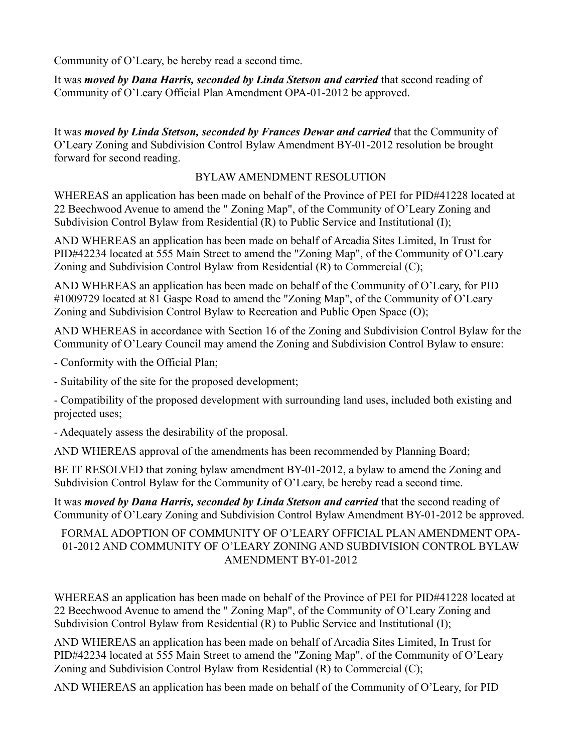Community of O'Leary, be hereby read a second time.

It was *moved by Dana Harris, seconded by Linda Stetson and carried* that second reading of Community of O'Leary Official Plan Amendment OPA-01-2012 be approved.

It was *moved by Linda Stetson, seconded by Frances Dewar and carried* that the Community of O'Leary Zoning and Subdivision Control Bylaw Amendment BY-01-2012 resolution be brought forward for second reading.

### BYLAW AMENDMENT RESOLUTION

WHEREAS an application has been made on behalf of the Province of PEI for PID#41228 located at 22 Beechwood Avenue to amend the " Zoning Map", of the Community of O'Leary Zoning and Subdivision Control Bylaw from Residential (R) to Public Service and Institutional (I);

AND WHEREAS an application has been made on behalf of Arcadia Sites Limited, In Trust for PID#42234 located at 555 Main Street to amend the "Zoning Map", of the Community of O'Leary Zoning and Subdivision Control Bylaw from Residential (R) to Commercial (C);

AND WHEREAS an application has been made on behalf of the Community of O'Leary, for PID #1009729 located at 81 Gaspe Road to amend the "Zoning Map", of the Community of O'Leary Zoning and Subdivision Control Bylaw to Recreation and Public Open Space (O);

AND WHEREAS in accordance with Section 16 of the Zoning and Subdivision Control Bylaw for the Community of O'Leary Council may amend the Zoning and Subdivision Control Bylaw to ensure:

- Conformity with the Official Plan;

- Suitability of the site for the proposed development;

- Compatibility of the proposed development with surrounding land uses, included both existing and projected uses;

- Adequately assess the desirability of the proposal.

AND WHEREAS approval of the amendments has been recommended by Planning Board;

BE IT RESOLVED that zoning bylaw amendment BY-01-2012, a bylaw to amend the Zoning and Subdivision Control Bylaw for the Community of O'Leary, be hereby read a second time.

It was *moved by Dana Harris, seconded by Linda Stetson and carried* that the second reading of Community of O'Leary Zoning and Subdivision Control Bylaw Amendment BY-01-2012 be approved.

#### FORMAL ADOPTION OF COMMUNITY OF O'LEARY OFFICIAL PLAN AMENDMENT OPA-01-2012 AND COMMUNITY OF O'LEARY ZONING AND SUBDIVISION CONTROL BYLAW AMENDMENT BY-01-2012

WHEREAS an application has been made on behalf of the Province of PEI for PID#41228 located at 22 Beechwood Avenue to amend the " Zoning Map", of the Community of O'Leary Zoning and Subdivision Control Bylaw from Residential (R) to Public Service and Institutional (I);

AND WHEREAS an application has been made on behalf of Arcadia Sites Limited, In Trust for PID#42234 located at 555 Main Street to amend the "Zoning Map", of the Community of O'Leary Zoning and Subdivision Control Bylaw from Residential (R) to Commercial (C);

AND WHEREAS an application has been made on behalf of the Community of O'Leary, for PID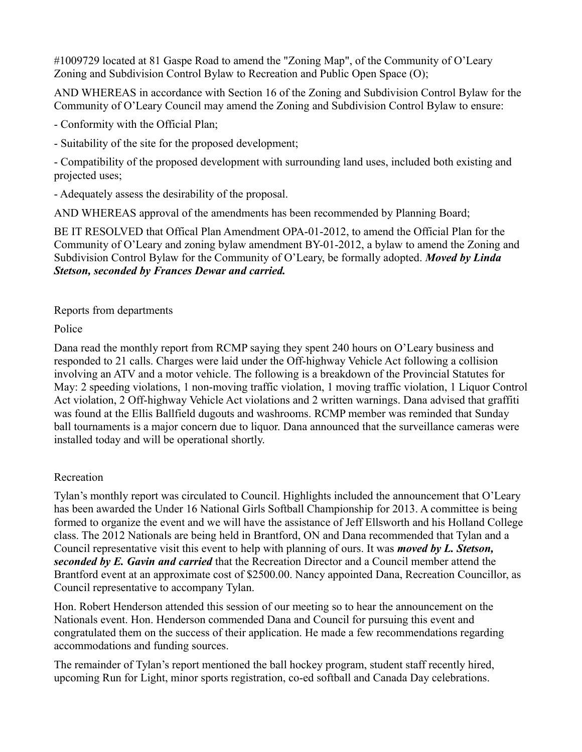#1009729 located at 81 Gaspe Road to amend the "Zoning Map", of the Community of O'Leary Zoning and Subdivision Control Bylaw to Recreation and Public Open Space (O);

AND WHEREAS in accordance with Section 16 of the Zoning and Subdivision Control Bylaw for the Community of O'Leary Council may amend the Zoning and Subdivision Control Bylaw to ensure:

- Conformity with the Official Plan;

- Suitability of the site for the proposed development;

- Compatibility of the proposed development with surrounding land uses, included both existing and projected uses;

- Adequately assess the desirability of the proposal.

AND WHEREAS approval of the amendments has been recommended by Planning Board;

BE IT RESOLVED that Offical Plan Amendment OPA-01-2012, to amend the Official Plan for the Community of O'Leary and zoning bylaw amendment BY-01-2012, a bylaw to amend the Zoning and Subdivision Control Bylaw for the Community of O'Leary, be formally adopted. *Moved by Linda Stetson, seconded by Frances Dewar and carried.*

## Reports from departments

Police

Dana read the monthly report from RCMP saying they spent 240 hours on O'Leary business and responded to 21 calls. Charges were laid under the Off-highway Vehicle Act following a collision involving an ATV and a motor vehicle. The following is a breakdown of the Provincial Statutes for May: 2 speeding violations, 1 non-moving traffic violation, 1 moving traffic violation, 1 Liquor Control Act violation, 2 Off-highway Vehicle Act violations and 2 written warnings. Dana advised that graffiti was found at the Ellis Ballfield dugouts and washrooms. RCMP member was reminded that Sunday ball tournaments is a major concern due to liquor. Dana announced that the surveillance cameras were installed today and will be operational shortly.

# Recreation

Tylan's monthly report was circulated to Council. Highlights included the announcement that O'Leary has been awarded the Under 16 National Girls Softball Championship for 2013. A committee is being formed to organize the event and we will have the assistance of Jeff Ellsworth and his Holland College class. The 2012 Nationals are being held in Brantford, ON and Dana recommended that Tylan and a Council representative visit this event to help with planning of ours. It was *moved by L. Stetson, seconded by E. Gavin and carried* that the Recreation Director and a Council member attend the Brantford event at an approximate cost of \$2500.00. Nancy appointed Dana, Recreation Councillor, as Council representative to accompany Tylan.

Hon. Robert Henderson attended this session of our meeting so to hear the announcement on the Nationals event. Hon. Henderson commended Dana and Council for pursuing this event and congratulated them on the success of their application. He made a few recommendations regarding accommodations and funding sources.

The remainder of Tylan's report mentioned the ball hockey program, student staff recently hired, upcoming Run for Light, minor sports registration, co-ed softball and Canada Day celebrations.